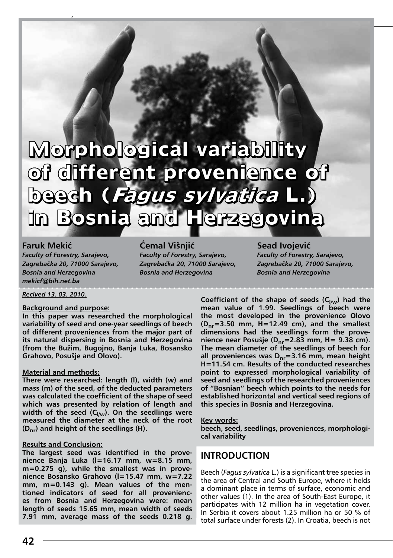# **Morphological variability Morphological variability of different provenience of of different provenience of beech (Fagus sylvatica L.) beech (Fagus sylvatica L.) in Bosnia and Herzegovina in Bosnia and Herzegovina**

**Faruk Mekić** *Faculty of Forestry, Sarajevo, Zagrebačka 20, 71000 Sarajevo, Bosnia and Herzegovina mekicf@bih.net.ba*

**Ćemal Višnjić** *Faculty of Forestry, Sarajevo, Zagrebačka 20, 71000 Sarajevo, Bosnia and Herzegovina*

**Sead Ivojević** *Faculty of Forestry, Sarajevo, Zagrebačka 20, 71000 Sarajevo, Bosnia and Herzegovina*

Faruk Mekić, Ćemal Višnjić, Sead Ivojević Morphological variability of different provenience of beech (*Fagus sylvatica* L.) in Bosnia and Herzegovina

*Recived 13. 03. 2010.*

#### **Background and purpose:**

**In this paper was researched the morphological variability of seed and one-year seedlings of beech of different proveniences from the major part of its natural dispersing in Bosnia and Herzegovina (from the Bužim, Bugojno, Banja Luka, Bosansko Grahovo, Posušje and Olovo).**

#### **Material and methods:**

**There were researched: length (l), width (w) and mass (m) of the seed, of the deducted parameters was calculated the coefficient of the shape of seed which was presented by relation of length and**  width of the seed (C<sub>I/w</sub>). On the seedlings were **measured the diameter at the neck of the root (Dnr) and height of the seedlings (H).** 

#### **Results and Conclusion:**

**The largest seed was identified in the provenience Banja Luka (l=16.17 mm, w=8.15 mm, m=0.275 g), while the smallest was in provenience Bosansko Grahovo (l=15.47 mm, w=7.22 mm, m=0.143 g). Mean values of the mentioned indicators of seed for all proveniences from Bosnia and Herzegovina were: mean length of seeds 15.65 mm, mean width of seeds 7.91 mm, average mass of the seeds 0.218 g.** 

Coefficient of the shape of seeds (C<sub>I/w</sub>) had the **mean value of 1.99. Seedlings of beech were the most developed in the provenience Olovo (Dnr=3.50 mm, H=12.49 cm), and the smallest dimensions had the seedlings form the provenience near Posušje (Dnr=2.83 mm, H= 9.38 cm). The mean diameter of the seedlings of beech for all proveniences was Dnr=3.16 mm, mean height H=11.54 cm. Results of the conducted researches point to expressed morphological variability of seed and seedlings of the researched proveniences of "Bosnian" beech which points to the needs for established horizontal and vertical seed regions of this species in Bosnia and Herzegovina.**

**Key words:**

**beech, seed, seedlings, proveniences, morphological variability**

# **Introduction**

Beech (*Fagus sylvatica* L.) is a significant tree species in the area of Central and South Europe, where it helds a dominant place in terms of surface, economic and other values (1). In the area of South-East Europe, it participates with 12 million ha in vegetation cover. In Serbia it covers about 1.25 million ha or 50 % of total surface under forests (2). In Croatia, beech is not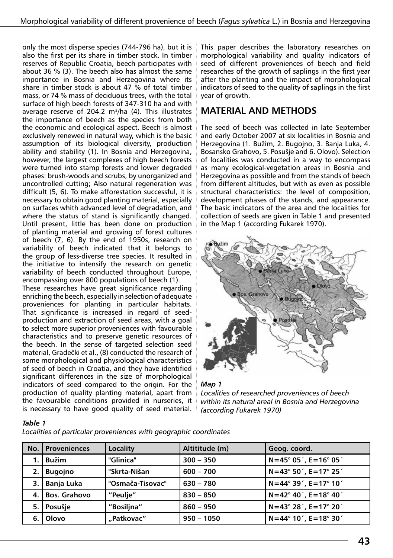only the most disperse species (744-796 ha), but it is also the first per its share in timber stock. In timber reserves of Republic Croatia, beech participates with about 36 % (3). The beech also has almost the same importance in Bosnia and Herzegovina where its share in timber stock is about 47 % of total timber mass, or 74 % mass of deciduous trees, with the total surface of high beech forests of 347-310 ha and with average reserve of 204.2  $m^3/ha$  (4). This illustrates the importance of beech as the species from both the economic and ecological aspect. Beech is almost exclusively renewed in natural way, which is the basic assumption of its biological diversity, production ability and stability (1). In Bosnia and Herzegovina, however, the largest complexes of high beech forests were turned into stamp forests and lower degraded phases: brush-woods and scrubs, by unorganized and uncontrolled cutting; Also natural regeneration was difficult (5, 6). To make afforestation successful, it is necessary to obtain good planting material, especially on surfaces whith advanced level of degradation, and where the status of stand is significantly changed. Until present, little has been done on production of planting material and growing of forest cultures of beech (7, 6). By the end of 1950s, research on variability of beech indicated that it belongs to the group of less-diverse tree species. It resulted in the initiative to intensify the research on genetic variability of beech conducted throughout Europe, encompassing over 800 populations of beech (1).

These researches have great significance regarding enriching the beech, especially in selection of adequate proveniences for planting in particular habitats. That significance is increased in regard of seedproduction and extraction of seed areas, with a goal to select more superior proveniences with favourable characteristics and to preserve genetic resources of the beech. In the sense of targeted selection seed material, Gradečki et al., (8) conducted the research of some morphological and physiological characteristics of seed of beech in Croatia, and they have identified significant differences in the size of morphological indicators of seed compared to the origin. For the production of quality planting material, apart from the favourable conditions provided in nurseries, it is necessary to have good quality of seed material. This paper describes the laboratory researches on morphological variability and quality indicators of seed of different proveniences of beech and field researches of the growth of saplings in the first year after the planting and the impact of morphological indicators of seed to the quality of saplings in the first year of growth.

# **Material and methods**

The seed of beech was collected in late September and early October 2007 at six localities in Bosnia and Herzegovina (1. Bužim, 2. Bugojno, 3. Banja Luka, 4. Bosansko Grahovo, 5. Posušje and 6. Olovo). Selection of localities was conducted in a way to encompass as many ecological-vegetation areas in Bosnia and Herzegovina as possible and from the stands of beech from different altitudes, but with as even as possible structural characteristics: the level of composition, development phases of the stands, and appearance. The basic indicators of the area and the localities for collection of seeds are given in Table 1 and presented in the Map 1 (according Fukarek 1970).





*Localities of researched proveniences of beech within its natural areal in Bosnia and Herzegovina (according Fukarek 1970)*

## *Table 1*

*Localities of particular proveniences with geographic coordinates*

| No. | <b>Proveniences</b> | Locality         | Altititude (m) | Geog. coord.                                   |
|-----|---------------------|------------------|----------------|------------------------------------------------|
|     | <b>Bužim</b>        | "Glinica"        | $300 - 350$    | $N = 45^{\circ} 05'$ , E = 16 $^{\circ} 05'$   |
| 2.  | <b>Bugojno</b>      | "Skrta-Nišan     | $600 - 700$    | $N = 43^{\circ} 50'$ , E = 17° 25 $'$          |
| 3.  | Banja Luka          | "Osmača-Tisovac" | $630 - 780$    | $N = 44^{\circ} 39'$ , E = 17° 10 <sup>'</sup> |
| 4.  | <b>Bos. Grahovo</b> | "Peulie"         | $830 - 850$    | $N = 42^{\circ} 40'$ , E = 18° 40 $'$          |
| 5.  | Posušje             | "Bosilina"       | $860 - 950$    | $N = 43^{\circ} 28'$ , E = 17° 20'             |
| 6.  | Olovo               | "Patkovac"       | $950 - 1050$   | $N = 44^{\circ} 10'$ , E = 18° 30 $'$          |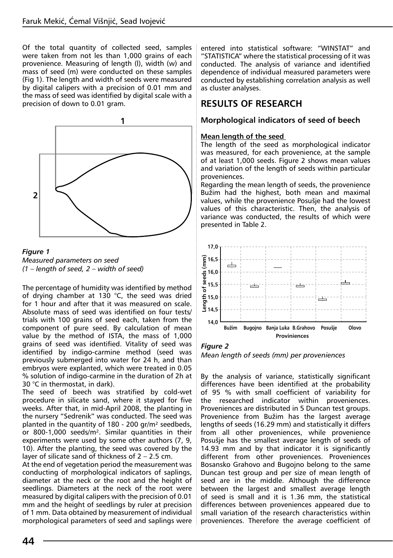Of the total quantity of collected seed, samples were taken from not les than 1,000 grains of each provenience. Measuring of length (l), width (w) and mass of seed (m) were conducted on these samples (Fig 1). The length and width of seeds were measured by digital calipers with a precision of 0.01 mm and the mass of seed was identified by digital scale with a precision of down to 0.01 gram.





The percentage of humidity was identified by method of drying chamber at 130 °C, the seed was dried for 1 hour and after that it was measured on scale. Absolute mass of seed was identified on four tests/ trials with 100 grains of seed each, taken from the component of pure seed. By calculation of mean value by the method of ISTA, the mass of 1,000 grains of seed was identified. Vitality of seed was identified by indigo-carmine method (seed was previously submerged into water for 24 h, and than embryos were explanted, which were treated in 0.05 % solution of indigo-carmine in the duration of 2h at 30 °C in thermostat, in dark).

The seed of beech was stratified by cold-wet procedure in silicate sand, where it stayed for five weeks. After that, in mid-April 2008, the planting in the nursery "Sedrenik" was conducted. The seed was planted in the quantity of 180 - 200 gr/m² seedbeds, or 800-1,000 seeds/m². Similar quantities in their experiments were used by some other authors (7, 9, 10). After the planting, the seed was covered by the layer of silicate sand of thickness of 2 – 2.5 cm.

At the end of vegetation period the measurement was conducting of morphological indicators of saplings, diameter at the neck or the root and the height of seedlings. Diameters at the neck of the root were measured by digital calipers with the precision of 0.01 mm and the height of seedlings by ruler at precision of 1 mm. Data obtained by measurement of individual morphological parameters of seed and saplings were entered into statistical software: "WINSTAT" and "STATISTICA" where the statistical processing of it was conducted. The analysis of variance and identified dependence of individual measured parameters were conducted by establishing correlation analysis as well as cluster analyses.

# **Results of research**

# **Morphological indicators of seed of beech**

## **Mean length of the seed**

The length of the seed as morphological indicator was measured, for each provenience, at the sample of at least 1,000 seeds. Figure 2 shows mean values and variation of the length of seeds within particular proveniences.

Regarding the mean length of seeds, the provenience Bužim had the highest, both mean and maximal values, while the provenience Posušje had the lowest values of this characteristic. Then, the analysis of variance was conducted, the results of which were presented in Table 2.



*Figure 2 Mean length of seeds (mm) per proveniences*

By the analysis of variance, statistically significant differences have been identified at the probability of 95 % with small coefficient of variability for the researched indicator within proveniences. Proveniences are distributed in 5 Duncan test groups. Provenience from Bužim has the largest average lengths of seeds (16.29 mm) and statistically it differs from all other proveniences, while provenience Posušje has the smallest average length of seeds of 14.93 mm and by that indicator it is significantly different from other proveniences. Proveniences Bosansko Grahovo and Bugojno belong to the same Duncan test group and per size of mean length of seed are in the middle. Although the difference between the largest and smallest average length of seed is small and it is 1.36 mm, the statistical differences between proveniences appeared due to small variation of the research characteristics within proveniences. Therefore the average coefficient of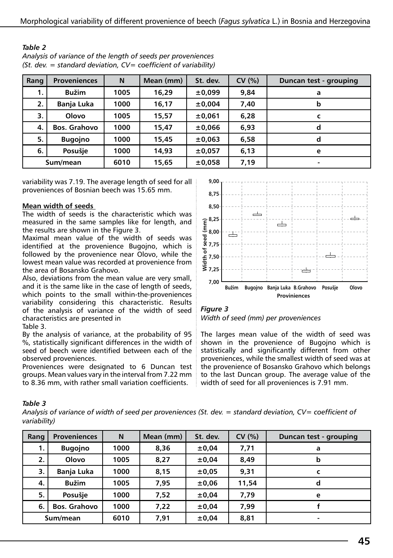| Rang     | <b>Proveniences</b> | N    | Mean (mm) | St. dev. | CV(% ) | Duncan test - grouping |
|----------|---------------------|------|-----------|----------|--------|------------------------|
| 1.       | <b>Bužim</b>        | 1005 | 16,29     | ±0,099   | 9,84   | a                      |
| 2.       | Banja Luka          | 1000 | 16,17     | ±0,004   | 7,40   | b                      |
| 3.       | Olovo               | 1005 | 15,57     | ±0,061   | 6,28   | C                      |
| 4.       | <b>Bos. Grahovo</b> | 1000 | 15,47     | ±0,066   | 6,93   | d                      |
| 5.       | <b>Bugojno</b>      | 1000 | 15,45     | ±0,063   | 6,58   | d                      |
| 6.       | Posušje             | 1000 | 14,93     | ±0,057   | 6,13   | e                      |
| Sum/mean |                     | 6010 | 15,65     | ±0,058   | 7,19   | ۰                      |

| IMMIL L                                                               |
|-----------------------------------------------------------------------|
| Analysis of variance of the length of seeds per proveniences          |
| $(St.$ dev. = standard deviation, $CV = coefficient of variability$ ) |

variability was 7.19. The average length of seed for all proveniences of Bosnian beech was 15.65 mm.

#### **Mean width of seeds**

*Table 2* 

The width of seeds is the characteristic which was measured in the same samples like for length, and the results are shown in the Figure 3.

Maximal mean value of the width of seeds was identified at the provenience Bugojno, which is followed by the provenience near Olovo, while the lowest mean value was recorded at provenience from the area of Bosansko Grahovo.

Also, deviations from the mean value are very small, and it is the same like in the case of length of seeds, which points to the small within-the-proveniences variability considering this characteristic. Results of the analysis of variance of the width of seed characteristics are presented in Table 3.

By the analysis of variance, at the probability of 95 %, statistically significant differences in the width of seed of beech were identified between each of the

observed proveniences. Proveniences were designated to 6 Duncan test groups. Mean values vary in the interval from 7.22 mm to 8.36 mm, with rather small variation coefficients.



*Figure 3 Width of seed (mm) per proveniences*

The larges mean value of the width of seed was shown in the provenience of Bugojno which is statistically and significantly different from other proveniences, while the smallest width of seed was at the provenience of Bosansko Grahovo which belongs to the last Duncan group. The average value of the width of seed for all proveniences is 7.91 mm.

#### *Table 3*

*Analysis of variance of width of seed per proveniences (St. dev. = standard deviation, CV= coefficient of variability)*

| Rang     | <b>Proveniences</b> | N    | Mean (mm) | St. dev. | CV(% ) | Duncan test - grouping |
|----------|---------------------|------|-----------|----------|--------|------------------------|
| 1.       | <b>Bugojno</b>      | 1000 | 8,36      | ±0,04    | 7,71   | a                      |
| 2.       | Olovo               | 1005 | 8,27      | ±0,04    | 8,49   | b                      |
| 3.       | Banja Luka          | 1000 | 8,15      | ±0,05    | 9,31   | C                      |
| 4.       | <b>Bužim</b>        | 1005 | 7,95      | ±0,06    | 11.54  | d                      |
| 5.       | Posušje             | 1000 | 7,52      | ±0,04    | 7,79   | e                      |
| 6.       | <b>Bos. Grahovo</b> | 1000 | 7,22      | ±0,04    | 7.99   |                        |
| Sum/mean |                     | 6010 | 7,91      | ±0,04    | 8,81   | ٠                      |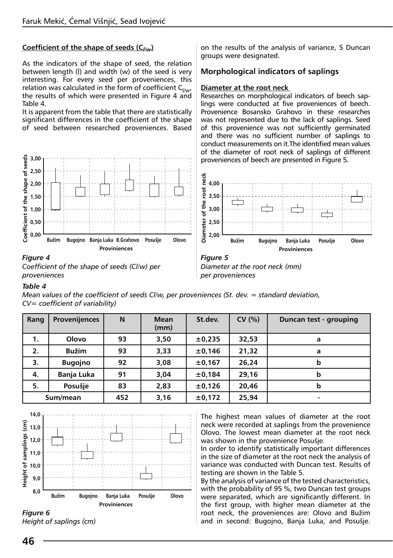## **Coefficient of the shape of seeds (C***l/w***)**

As the indicators of the shape of seed, the relation between length (l) and width (w) of the seed is very interesting. For every seed per proveniences, this relation was calculated in the form of coefficient  $C_{l/w}$ , the results of which were presented in Figure 4 and Table 4.

It is apparent from the table that there are statistically significant differences in the coefficient of the shape of seed between researched proveniences. Based

Coefficient of the shape of seeds **3,00 Coefficient of the shape of seeds 2,50 2,00 1,50 1,00 0,50 0,00 Bužim Bugojno Banja Luka B.Grahovo Posušje Olovo Proviniences**

#### *Figure 4 Coefficient of the shape of seeds (Cl/w) per proveniences*

on the results of the analysis of variance, 5 Duncan groups were designated.

# **Morphological indicators of saplings**

#### **Diameter at the root neck**

Researches on morphological indicators of beech saplings were conducted at five proveniences of beech. Provenience Bosansko Grahovo in these researches was not represented due to the lack of saplings. Seed of this provenience was not sufficiently germinated and there was no sufficient number of saplings to conduct measurements on it.The identified mean values of the diameter of root neck of saplings of different proveniences of beech are presented in Figure 5.



*Diameter at the root neck (mm) per proveniences*

#### *Table 4*

*Mean values of the coefficient of seeds Cl/w, per proveniences (St. dev. = standard deviation, CV= coefficient of variability)*

| Rang     | <b>Provenijences</b> | N   | <b>Mean</b><br>(mm) | St.dev. | CV(% ) | Duncan test - grouping |
|----------|----------------------|-----|---------------------|---------|--------|------------------------|
| 1.       | Olovo                | 93  | 3,50                | ±0,235  | 32,53  | a                      |
| 2.       | <b>Bužim</b>         | 93  | 3,33                | ±0,146  | 21,32  | a                      |
| 3.       | <b>Bugojno</b>       | 92  | 3,08                | ±0,167  | 26,24  | b                      |
| 4.       | <b>Banja Luka</b>    | 91  | 3,04                | ±0,184  | 29,16  | b                      |
| 5.       | Posušje              | 83  | 2,83                | ±0,126  | 20,46  | b                      |
| Sum/mean |                      | 452 | 3,16                | ±0,172  | 25,94  | ۰                      |





The highest mean values of diameter at the root neck were recorded at saplings from the provenience Olovo. The lowest mean diameter at the root neck was shown in the provenience Posušje.

In order to identify statistically important differences in the size of diameter at the root neck the analysis of variance was conducted with Duncan test. Results of testing are shown in the Table 5.

By the analysis of variance of the tested characteristics, with the probability of 95 %, two Duncan test groups were separated, which are significantly different. In the first group, with higher mean diameter at the root neck, the proveniences are: Olovo and Bužim and in second: Bugojno, Banja Luka, and Posušje.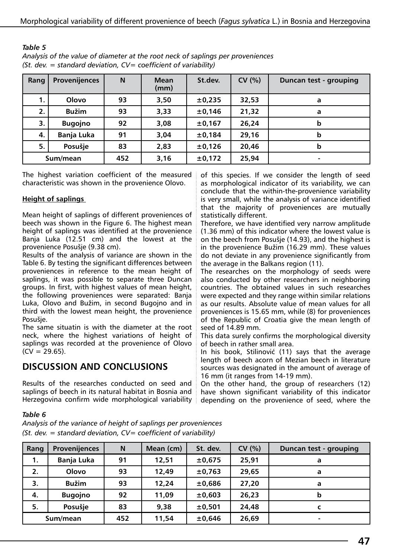| Rang     | Provenijences  | N   | <b>Mean</b><br>(mm) | St.dev. | CV(% ) | Duncan test - grouping |
|----------|----------------|-----|---------------------|---------|--------|------------------------|
| 1.       | Olovo          | 93  | 3,50                | ±0,235  | 32,53  | a                      |
| 2.       | <b>Bužim</b>   | 93  | 3,33                | ±0,146  | 21,32  | a                      |
| 3.       | <b>Bugojno</b> | 92  | 3,08                | ±0,167  | 26,24  | b                      |
| 4.       | Banja Luka     | 91  | 3,04                | ±0,184  | 29,16  | b                      |
| 5.       | Posušje        | 83  | 2,83                | ±0,126  | 20,46  | b                      |
| Sum/mean |                | 452 | 3,16                | ±0,172  | 25,94  | ۰                      |

*Table 5 Analysis of the value of diameter at the root neck of saplings per proveniences (St. dev. = standard deviation, CV= coefficient of variability)*

The highest variation coefficient of the measured characteristic was shown in the provenience Olovo.

## **Height of saplings**

Mean height of saplings of different proveniences of beech was shown in the Figure 6. The highest mean height of saplings was identified at the provenience Banja Luka (12.51 cm) and the lowest at the provenience Posušje (9.38 cm).

Results of the analysis of variance are shown in the Table 6. By testing the significant differences between proveniences in reference to the mean height of saplings, it was possible to separate three Duncan groups. In first, with highest values of mean height, the following proveniences were separated: Banja Luka, Olovo and Bužim, in second Bugojno and in third with the lowest mean height, the provenience Posušje.

The same situatin is with the diameter at the root neck, where the highest variations of height of saplings was recorded at the provenience of Olovo  $(CV = 29.65)$ .

# **Discussion and conclusions**

Results of the researches conducted on seed and saplings of beech in its natural habitat in Bosnia and Herzegovina confirm wide morphological variability

of this species. If we consider the length of seed as morphological indicator of its variability, we can conclude that the within-the-provenience variability is very small, while the analysis of variance identified that the majority of proveniences are mutually statistically different.

Therefore, we have identified very narrow amplitude (1.36 mm) of this indicator where the lowest value is on the beech from Posušje (14.93), and the highest is in the provenience Bužim (16.29 mm). These values do not deviate in any provenience significantly from the average in the Balkans region (11).

The researches on the morphology of seeds were also conducted by other researchers in neighboring countries. The obtained values in such researches were expected and they range within similar relations as our results. Absolute value of mean values for all proveniences is 15.65 mm, while (8) for proveniences of the Republic of Croatia give the mean length of seed of 14.89 mm.

This data surely confirms the morphological diversity of beech in rather small area.

In his book, Stilinović (11) says that the average length of beech acorn of Mezian beech in literature sources was designated in the amount of average of 16 mm (it ranges from 14-19 mm).

On the other hand, the group of researchers (12) have shown significant variability of this indicator depending on the provenience of seed, where the

## *Table 6*

*Analysis of the variance of height of saplings per proveniences (St. dev. = standard deviation, CV= coefficient of variability)*

| Rang     | <b>Provenijences</b> | N   | Mean (cm) | St. dev. | CV(% ) | Duncan test - grouping |
|----------|----------------------|-----|-----------|----------|--------|------------------------|
| 1.       | Banja Luka           | 91  | 12,51     | ±0,675   | 25.91  | a                      |
| 2.       | Olovo                | 93  | 12.49     | ±0,763   | 29.65  | a                      |
| 3.       | <b>Bužim</b>         | 93  | 12,24     | ±0,686   | 27,20  | a                      |
| 4.       | <b>Bugojno</b>       | 92  | 11,09     | ±0,603   | 26,23  | b                      |
| 5.       | Posušje              | 83  | 9.38      | ±0,501   | 24,48  |                        |
| Sum/mean |                      | 452 | 11,54     | ±0,646   | 26,69  | $\blacksquare$         |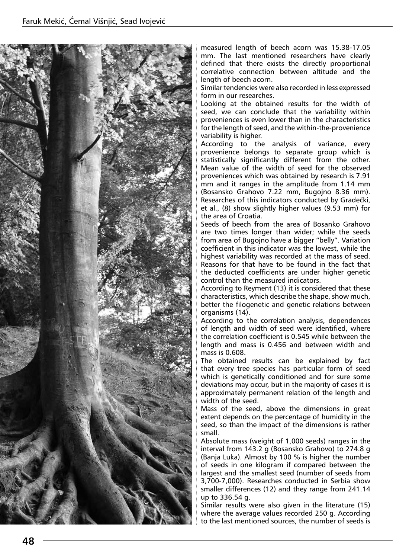

measured length of beech acorn was 15.38-17.05 mm. The last mentioned researchers have clearly defined that there exists the directly proportional correlative connection between altitude and the length of beech acorn.

Similar tendencies were also recorded in less expressed form in our researches.

Looking at the obtained results for the width of seed, we can conclude that the variability within proveniences is even lower than in the characteristics for the length of seed, and the within-the-provenience variability is higher.

According to the analysis of variance, every provenience belongs to separate group which is statistically significantly different from the other. Mean value of the width of seed for the observed proveniences which was obtained by research is 7.91 mm and it ranges in the amplitude from 1.14 mm (Bosansko Grahovo 7.22 mm, Bugojno 8.36 mm). Researches of this indicators conducted by Gradečki, et al., (8) show slightly higher values (9.53 mm) for the area of Croatia.

Seeds of beech from the area of Bosanko Grahovo are two times longer than wider; while the seeds from area of Bugojno have a bigger "belly". Variation coefficient in this indicator was the lowest, while the highest variability was recorded at the mass of seed. Reasons for that have to be found in the fact that the deducted coefficients are under higher genetic control than the measured indicators.

According to Reyment (13) it is considered that these characteristics, which describe the shape, show much, better the filogenetic and genetic relations between organisms (14).

According to the correlation analysis, dependences of length and width of seed were identified, where the correlation coefficient is 0.545 while between the length and mass is 0.456 and between width and mass is 0.608.

The obtained results can be explained by fact that every tree species has particular form of seed which is genetically conditioned and for sure some deviations may occur, but in the majority of cases it is approximately permanent relation of the length and width of the seed.

Mass of the seed, above the dimensions in great extent depends on the percentage of humidity in the seed, so than the impact of the dimensions is rather small.

Absolute mass (weight of 1,000 seeds) ranges in the interval from 143.2 g (Bosansko Grahovo) to 274.8 g (Banja Luka). Almost by 100 % is higher the number of seeds in one kilogram if compared between the largest and the smallest seed (number of seeds from 3,700-7,000). Researches conducted in Serbia show smaller differences (12) and they range from 241.14 up to 336.54 g.

Similar results were also given in the literature (15) where the average values recorded 250 g. According to the last mentioned sources, the number of seeds is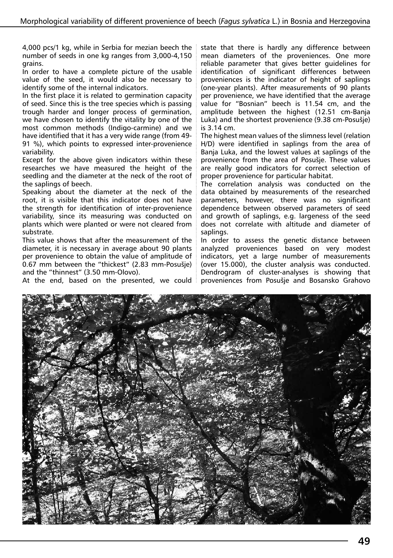4,000 pcs/1 kg, while in Serbia for mezian beech the number of seeds in one kg ranges from 3,000-4,150 grains.

In order to have a complete picture of the usable value of the seed, it would also be necessary to identify some of the internal indicators.

In the first place it is related to germination capacity of seed. Since this is the tree species which is passing trough harder and longer process of germination, we have chosen to identify the vitality by one of the most common methods (Indigo-carmine) and we have identified that it has a very wide range (from 49- 91 %), which points to expressed inter-provenience variability.

Except for the above given indicators within these researches we have measured the height of the seedling and the diameter at the neck of the root of the saplings of beech.

Speaking about the diameter at the neck of the root, it is visible that this indicator does not have the strength for identification of inter-provenience variability, since its measuring was conducted on plants which were planted or were not cleared from substrate.

This value shows that after the measurement of the diameter, it is necessary in average about 90 plants per provenience to obtain the value of amplitude of 0.67 mm between the "thickest" (2.83 mm-Posušje) and the "thinnest" (3.50 mm-Olovo).

At the end, based on the presented, we could

state that there is hardly any difference between mean diameters of the proveniences. One more reliable parameter that gives better guidelines for identification of significant differences between proveniences is the indicator of height of saplings (one-year plants). After measurements of 90 plants per provenience, we have identified that the average value for "Bosnian" beech is 11.54 cm, and the amplitude between the highest (12.51 cm-Banja Luka) and the shortest provenience (9.38 cm-Posušje) is 3.14 cm.

The highest mean values of the slimness level (relation H/D) were identified in saplings from the area of Banja Luka, and the lowest values at saplings of the provenience from the area of Posušje. These values are really good indicators for correct selection of proper provenience for particular habitat.

The correlation analysis was conducted on the data obtained by measurements of the researched parameters, however, there was no significant dependence between observed parameters of seed and growth of saplings, e.g. largeness of the seed does not correlate with altitude and diameter of saplings.

In order to assess the genetic distance between analyzed proveniences based on very modest indicators, yet a large number of measurements (over 15.000), the cluster analysis was conducted. Dendrogram of cluster-analyses is showing that proveniences from Posušje and Bosansko Grahovo